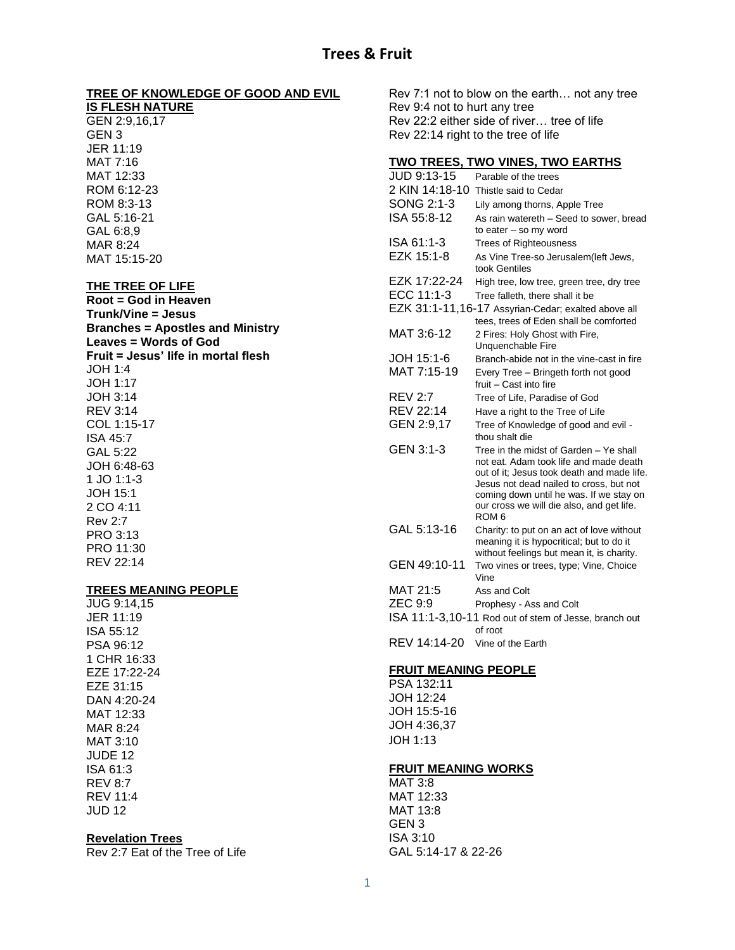# **TREE OF KNOWLEDGE OF GOOD AND EVIL**

**IS FLESH NATURE** GEN 2:9,16,17 GEN 3 JER 11:19 MAT 7:16 MAT 12:33 ROM 6:12-23 ROM 8:3-13 GAL 5:16-21 GAL 6:8,9 MAR 8:24 MAT 15:15-20

#### **THE TREE OF LIFE**

**Root = God in Heaven Trunk/Vine = Jesus Branches = Apostles and Ministry Leaves = Words of God Fruit = Jesus' life in mortal flesh** JOH 1:4 JOH 1:17 JOH 3:14 REV 3:14 COL 1:15-17 ISA 45:7 GAL 5:22 JOH 6:48-63 1 JO 1:1-3 JOH 15:1 2 CO 4:11 Rev 2:7 PRO 3:13 PRO 11:30 REV 22:14

# **TREES MEANING PEOPLE**

JUG 9:14,15 JER 11:19 ISA 55:12 PSA 96:12 1 CHR 16:33 EZE 17:22-24 EZE 31:15 DAN 4:20-24 MAT 12:33 MAR 8:24 MAT 3:10 JUDE 12 ISA 61:3 REV 8:7 REV 11:4 JUD 12

#### **Revelation Trees**

Rev 2:7 Eat of the Tree of Life

Rev 7:1 not to blow on the earth… not any tree Rev 9:4 not to hurt any tree Rev 22:2 either side of river… tree of life Rev 22:14 right to the tree of life

#### **TWO TREES, TWO VINES, TWO EARTHS**

| JUD 9:13-15      | Parable of the trees                                                                                                                                                                                                                                                                  |
|------------------|---------------------------------------------------------------------------------------------------------------------------------------------------------------------------------------------------------------------------------------------------------------------------------------|
| 2 KIN 14:18-10   | Thistle said to Cedar                                                                                                                                                                                                                                                                 |
| SONG 2:1-3       | Lily among thorns, Apple Tree                                                                                                                                                                                                                                                         |
| ISA 55:8-12      | As rain watereth - Seed to sower, bread                                                                                                                                                                                                                                               |
|                  | to eater - so my word                                                                                                                                                                                                                                                                 |
| ISA 61:1-3       | <b>Trees of Righteousness</b>                                                                                                                                                                                                                                                         |
| EZK 15:1-8       | As Vine Tree-so Jerusalem(left Jews,<br>took Gentiles                                                                                                                                                                                                                                 |
| EZK 17:22-24     | High tree, low tree, green tree, dry tree                                                                                                                                                                                                                                             |
| ECC 11:1-3       | Tree falleth, there shall it be                                                                                                                                                                                                                                                       |
|                  | EZK 31:1-11,16-17 Assyrian-Cedar; exalted above all                                                                                                                                                                                                                                   |
|                  | tees, trees of Eden shall be comforted                                                                                                                                                                                                                                                |
| MAT 3:6-12       | 2 Fires: Holy Ghost with Fire,<br>Unquenchable Fire                                                                                                                                                                                                                                   |
| JOH 15:1-6       | Branch-abide not in the vine-cast in fire                                                                                                                                                                                                                                             |
| MAT 7:15-19      | Every Tree - Bringeth forth not good<br>fruit - Cast into fire                                                                                                                                                                                                                        |
| <b>REV 2:7</b>   | Tree of Life, Paradise of God                                                                                                                                                                                                                                                         |
| <b>REV 22:14</b> | Have a right to the Tree of Life                                                                                                                                                                                                                                                      |
| GEN 2:9,17       | Tree of Knowledge of good and evil -                                                                                                                                                                                                                                                  |
|                  | thou shalt die                                                                                                                                                                                                                                                                        |
| GEN 3:1-3        | Tree in the midst of Garden - Ye shall<br>not eat. Adam took life and made death<br>out of it; Jesus took death and made life.<br>Jesus not dead nailed to cross, but not<br>coming down until he was. If we stay on<br>our cross we will die also, and get life.<br>ROM <sub>6</sub> |
| GAL 5:13-16      | Charity: to put on an act of love without                                                                                                                                                                                                                                             |
|                  | meaning it is hypocritical; but to do it<br>without feelings but mean it, is charity.                                                                                                                                                                                                 |
| GEN 49:10-11     | Two vines or trees, type; Vine, Choice<br>Vine                                                                                                                                                                                                                                        |
| MAT 21:5         | Ass and Colt                                                                                                                                                                                                                                                                          |
| <b>ZEC 9:9</b>   | Prophesy - Ass and Colt                                                                                                                                                                                                                                                               |
|                  | ISA 11:1-3,10-11 Rod out of stem of Jesse, branch out<br>of root                                                                                                                                                                                                                      |
| REV 14:14-20     | Vine of the Earth                                                                                                                                                                                                                                                                     |

#### **FRUIT MEANING PEOPLE**

PSA 132:11 JOH 12:24 JOH 15:5-16 JOH 4:36,37 JOH 1:13

#### **FRUIT MEANING WORKS**

MAT 3:8 MAT 12:33 MAT 13:8 GEN 3 ISA 3:10 GAL 5:14-17 & 22-26